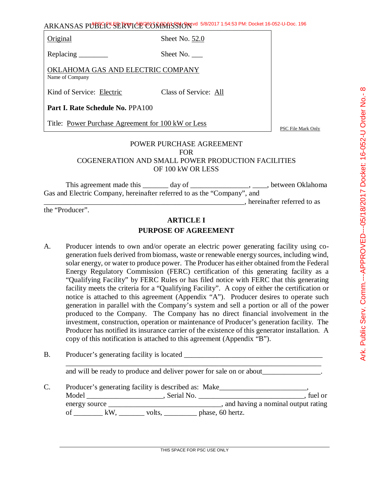ARKANSAS PUBLIC SERVICE COMMISSION 5/8/2017 1:54:53 PM: Docket 16-052-U-Doc. 196

Original Sheet No. 52.0

Replacing \_\_\_\_\_\_\_\_\_ Sheet No. \_\_\_\_

OKLAHOMA GAS AND ELECTRIC COMPANY Name of Company

Kind of Service: Electric Class of Service: All

**Part I. Rate Schedule No.** PPA100

Title: Power Purchase Agreement for 100 kW or Less

PSC File Mark Only

#### POWER PURCHASE AGREEMENT FOR COGENERATION AND SMALL POWER PRODUCTION FACILITIES OF 100 kW OR LESS

This agreement made this \_\_\_\_\_\_\_ day of \_\_\_\_\_\_\_\_\_\_\_\_\_\_\_\_\_, \_\_\_\_\_, between Oklahoma Gas and Electric Company, hereinafter referred to as the "Company", and \_\_\_\_\_\_\_\_\_\_\_\_\_\_\_\_\_\_\_\_\_\_\_\_\_\_\_\_\_\_\_\_\_\_\_\_\_\_\_\_\_\_\_\_\_\_\_\_\_\_\_\_\_\_\_, hereinafter referred to as

the "Producer".

# **ARTICLE I PURPOSE OF AGREEMENT**

- A. Producer intends to own and/or operate an electric power generating facility using cogeneration fuels derived from biomass, waste or renewable energy sources, including wind, solar energy, or water to produce power. The Producer has either obtained from the Federal Energy Regulatory Commission (FERC) certification of this generating facility as a "Qualifying Facility" by FERC Rules or has filed notice with FERC that this generating facility meets the criteria for a "Qualifying Facility". A copy of either the certification or notice is attached to this agreement (Appendix "A"). Producer desires to operate such generation in parallel with the Company's system and sell a portion or all of the power produced to the Company. The Company has no direct financial involvement in the investment, construction, operation or maintenance of Producer's generation facility. The Producer has notified its insurance carrier of the existence of this generator installation. A copy of this notification is attached to this agreement (Appendix "B").
- B. Producer's generating facility is located \_\_\_\_\_\_\_\_\_\_\_\_\_\_\_\_\_\_\_\_\_\_\_\_\_\_\_\_\_\_\_\_\_\_\_

and will be ready to produce and deliver power for sale on or about

\_\_\_\_\_\_\_\_\_\_\_\_\_\_\_\_\_\_\_\_\_\_\_\_\_\_\_\_\_\_\_\_\_\_\_\_\_\_\_\_\_\_\_\_\_\_\_\_\_\_\_\_\_\_\_\_\_\_\_\_\_\_\_\_\_\_\_\_\_\_

C. Producer's generating facility is described as: Make\_\_\_\_\_\_\_\_\_\_\_\_\_\_\_\_\_\_\_\_\_\_\_\_\_ Model \_\_\_\_\_\_\_\_\_\_\_\_\_\_\_\_\_\_\_\_\_, Serial No. \_\_\_\_\_\_\_\_\_\_\_\_\_\_\_\_\_\_\_\_\_\_\_\_\_\_\_\_\_, fuel or energy source \_\_\_\_\_\_\_\_\_\_\_\_\_\_\_\_\_\_\_\_\_\_\_\_\_\_\_\_\_\_\_, and having a nominal output rating of  $\underline{\hspace{1cm}}$  kW,  $\underline{\hspace{1cm}}$  volts,  $\underline{\hspace{1cm}}$  phase, 60 hertz.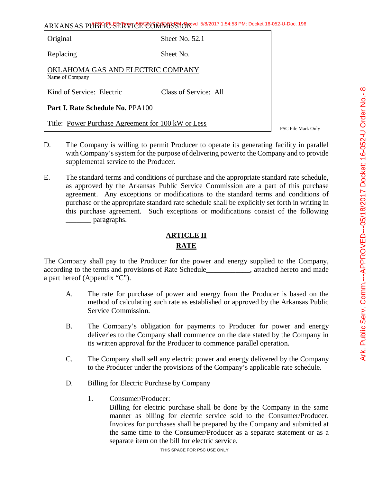| Original                                             | Sheet No. $52.1$      |  |
|------------------------------------------------------|-----------------------|--|
|                                                      | Sheet No.             |  |
| OKLAHOMA GAS AND ELECTRIC COMPANY<br>Name of Company |                       |  |
| Kind of Service: Electric                            | Class of Service: All |  |
| <b>Part I. Rate Schedule No. PPA100</b>              |                       |  |
| Title: Power Purchase Agreement for 100 kW or Less   | PSC File Mark Only    |  |

- D. The Company is willing to permit Producer to operate its generating facility in parallel with Company's system for the purpose of delivering power to the Company and to provide supplemental service to the Producer.
- E. The standard terms and conditions of purchase and the appropriate standard rate schedule, as approved by the Arkansas Public Service Commission are a part of this purchase agreement. Any exceptions or modifications to the standard terms and conditions of purchase or the appropriate standard rate schedule shall be explicitly set forth in writing in this purchase agreement. Such exceptions or modifications consist of the following \_\_\_\_\_\_\_ paragraphs.

# **ARTICLE II**

### **RATE**

The Company shall pay to the Producer for the power and energy supplied to the Company, according to the terms and provisions of Rate Schedule and statistical example attached hereto and made a part hereof (Appendix "C").

- A. The rate for purchase of power and energy from the Producer is based on the method of calculating such rate as established or approved by the Arkansas Public Service Commission.
- B. The Company's obligation for payments to Producer for power and energy deliveries to the Company shall commence on the date stated by the Company in its written approval for the Producer to commence parallel operation.
- C. The Company shall sell any electric power and energy delivered by the Company to the Producer under the provisions of the Company's applicable rate schedule.
- D. Billing for Electric Purchase by Company
	- 1. Consumer/Producer:

Billing for electric purchase shall be done by the Company in the same manner as billing for electric service sold to the Consumer/Producer. Invoices for purchases shall be prepared by the Company and submitted at the same time to the Consumer/Producer as a separate statement or as a separate item on the bill for electric service.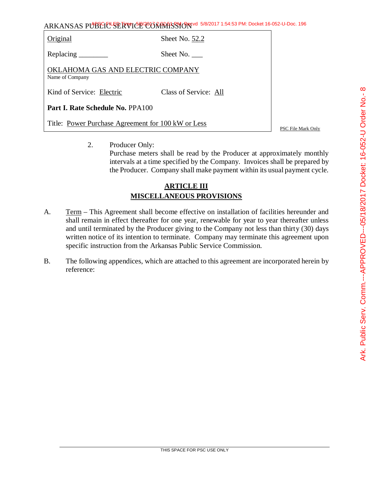ARKANSAS PUBLIC SERVICE COMMISSION 5/8/2017 1:54:53 PM: Docket 16-052-U-Doc. 196

| Original                                             | Sheet No. 52.2        |                 |
|------------------------------------------------------|-----------------------|-----------------|
|                                                      | Sheet No.             |                 |
| OKLAHOMA GAS AND ELECTRIC COMPANY<br>Name of Company |                       |                 |
| Kind of Service: Electric                            | Class of Service: All |                 |
| <b>Part I. Rate Schedule No. PPA100</b>              |                       |                 |
| Title: Power Purchase Agreement for 100 kW or Less   |                       | <b>PSC</b> File |

2. Producer Only: Purchase meters shall be read by the Producer at approximately monthly intervals at a time specified by the Company. Invoices shall be prepared by the Producer. Company shall make payment within its usual payment cycle.

# **ARTICLE III MISCELLANEOUS PROVISIONS**

- A. Term This Agreement shall become effective on installation of facilities hereunder and shall remain in effect thereafter for one year, renewable for year to year thereafter unless and until terminated by the Producer giving to the Company not less than thirty (30) days written notice of its intention to terminate. Company may terminate this agreement upon specific instruction from the Arkansas Public Service Commission.
- B. The following appendices, which are attached to this agreement are incorporated herein by reference:

Mark Only